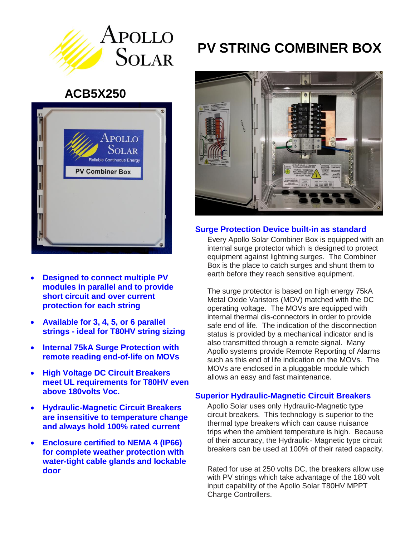

## **ACB5X250**



- **Designed to connect multiple PV modules in parallel and to provide short circuit and over current protection for each string**
- **Available for 3, 4, 5, or 6 parallel strings - ideal for T80HV string sizing**
- **Internal 75kA Surge Protection with remote reading end-of-life on MOVs**
- **High Voltage DC Circuit Breakers meet UL requirements for T80HV even above 180volts Voc.**
- **Hydraulic-Magnetic Circuit Breakers are insensitive to temperature change and always hold 100% rated current**
- **Enclosure certified to NEMA 4 (IP66) for complete weather protection with water-tight cable glands and lockable door**

# **PV STRING COMBINER BOX**



#### **Surge Protection Device built-in as standard**

Every Apollo Solar Combiner Box is equipped with an internal surge protector which is designed to protect equipment against lightning surges. The Combiner Box is the place to catch surges and shunt them to earth before they reach sensitive equipment.

The surge protector is based on high energy 75kA Metal Oxide Varistors (MOV) matched with the DC operating voltage. The MOVs are equipped with internal thermal dis-connectors in order to provide safe end of life. The indication of the disconnection status is provided by a mechanical indicator and is also transmitted through a remote signal. Many Apollo systems provide Remote Reporting of Alarms such as this end of life indication on the MOVs. The MOVs are enclosed in a pluggable module which allows an easy and fast maintenance.

#### **Superior Hydraulic-Magnetic Circuit Breakers**

Apollo Solar uses only Hydraulic-Magnetic type circuit breakers. This technology is superior to the thermal type breakers which can cause nuisance trips when the ambient temperature is high. Because of their accuracy, the Hydraulic- Magnetic type circuit breakers can be used at 100% of their rated capacity.

Rated for use at 250 volts DC, the breakers allow use with PV strings which take advantage of the 180 volt input capability of the Apollo Solar T80HV MPPT Charge Controllers.